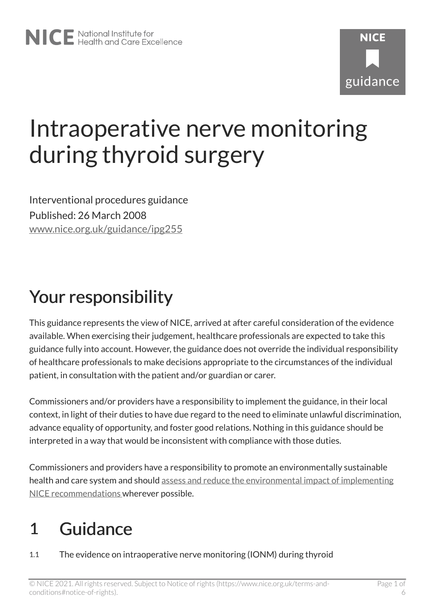# Intraoperative nerve monitoring during thyroid surgery

Interventional procedures guidance Published: 26 March 2008 [www.nice.org.uk/guidance/ipg255](https://www.nice.org.uk/guidance/ipg255) 

## Your responsibility

This guidance represents the view of NICE, arrived at after careful consideration of the evidence available. When exercising their judgement, healthcare professionals are expected to take this guidance fully into account. However, the guidance does not override the individual responsibility of healthcare professionals to make decisions appropriate to the circumstances of the individual patient, in consultation with the patient and/or guardian or carer.

Commissioners and/or providers have a responsibility to implement the guidance, in their local context, in light of their duties to have due regard to the need to eliminate unlawful discrimination, advance equality of opportunity, and foster good relations. Nothing in this guidance should be interpreted in a way that would be inconsistent with compliance with those duties.

Commissioners and providers have a responsibility to promote an environmentally sustainable health and care system and should [assess and reduce the environmental impact of implementing](https://www.nice.org.uk/about/who-we-are/sustainability)  [NICE recommendations w](https://www.nice.org.uk/about/who-we-are/sustainability)herever possible.

## 1 Guidance

1.1 The evidence on intraoperative nerve monitoring (IONM) during thyroid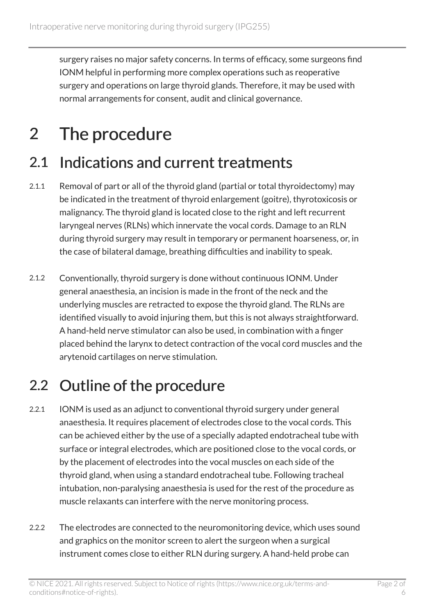surgery raises no major safety concerns. In terms of efficacy, some surgeons find IONM helpful in performing more complex operations such as reoperative surgery and operations on large thyroid glands. Therefore, it may be used with normal arrangements for consent, audit and clinical governance.

## 2 The procedure

#### 2.1 Indications and current treatments

- 2.1.1 Removal of part or all of the thyroid gland (partial or total thyroidectomy) may be indicated in the treatment of thyroid enlargement (goitre), thyrotoxicosis or malignancy. The thyroid gland is located close to the right and left recurrent laryngeal nerves (RLNs) which innervate the vocal cords. Damage to an RLN during thyroid surgery may result in temporary or permanent hoarseness, or, in the case of bilateral damage, breathing difficulties and inability to speak.
- 2.1.2 Conventionally, thyroid surgery is done without continuous IONM. Under general anaesthesia, an incision is made in the front of the neck and the underlying muscles are retracted to expose the thyroid gland. The RLNs are identified visually to avoid injuring them, but this is not always straightforward. A hand-held nerve stimulator can also be used, in combination with a finger placed behind the larynx to detect contraction of the vocal cord muscles and the arytenoid cartilages on nerve stimulation.

#### 2.2 Outline of the procedure

- 2.2.1 IONM is used as an adjunct to conventional thyroid surgery under general anaesthesia. It requires placement of electrodes close to the vocal cords. This can be achieved either by the use of a specially adapted endotracheal tube with surface or integral electrodes, which are positioned close to the vocal cords, or by the placement of electrodes into the vocal muscles on each side of the thyroid gland, when using a standard endotracheal tube. Following tracheal intubation, non-paralysing anaesthesia is used for the rest of the procedure as muscle relaxants can interfere with the nerve monitoring process.
- 2.2.2 The electrodes are connected to the neuromonitoring device, which uses sound and graphics on the monitor screen to alert the surgeon when a surgical instrument comes close to either RLN during surgery. A hand-held probe can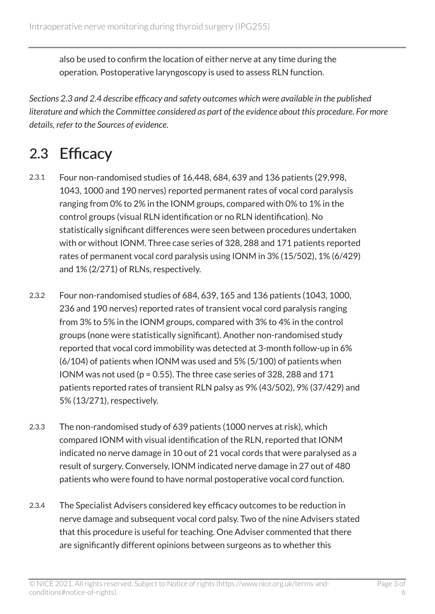also be used to confirm the location of either nerve at any time during the operation. Postoperative laryngoscopy is used to assess RLN function.

*Sections 2.3 and 2.4 describe efficacy and safety outcomes which were available in the published literature and which the Committee considered as part of the evidence about this procedure. For more details, refer to the Sources of evidence.* 

### 2.3 Efficacy

- 2.3.1 Four non-randomised studies of 16,448, 684, 639 and 136 patients (29,998, 1043, 1000 and 190 nerves) reported permanent rates of vocal cord paralysis ranging from 0% to 2% in the IONM groups, compared with 0% to 1% in the control groups (visual RLN identification or no RLN identification). No statistically significant differences were seen between procedures undertaken with or without IONM. Three case series of 328, 288 and 171 patients reported rates of permanent vocal cord paralysis using IONM in 3% (15/502), 1% (6/429) and 1% (2/271) of RLNs, respectively.
- 2.3.2 Four non-randomised studies of 684, 639, 165 and 136 patients (1043, 1000, 236 and 190 nerves) reported rates of transient vocal cord paralysis ranging from 3% to 5% in the IONM groups, compared with 3% to 4% in the control groups (none were statistically significant). Another non-randomised study reported that vocal cord immobility was detected at 3-month follow-up in 6% (6/104) of patients when IONM was used and 5% (5/100) of patients when IONM was not used (p = 0.55). The three case series of 328, 288 and 171 patients reported rates of transient RLN palsy as 9% (43/502), 9% (37/429) and 5% (13/271), respectively.
- 2.3.3 The non-randomised study of 639 patients (1000 nerves at risk), which compared IONM with visual identification of the RLN, reported that IONM indicated no nerve damage in 10 out of 21 vocal cords that were paralysed as a result of surgery. Conversely, IONM indicated nerve damage in 27 out of 480 patients who were found to have normal postoperative vocal cord function.
- 2.3.4 The Specialist Advisers considered key efficacy outcomes to be reduction in nerve damage and subsequent vocal cord palsy. Two of the nine Advisers stated that this procedure is useful for teaching. One Adviser commented that there are significantly different opinions between surgeons as to whether this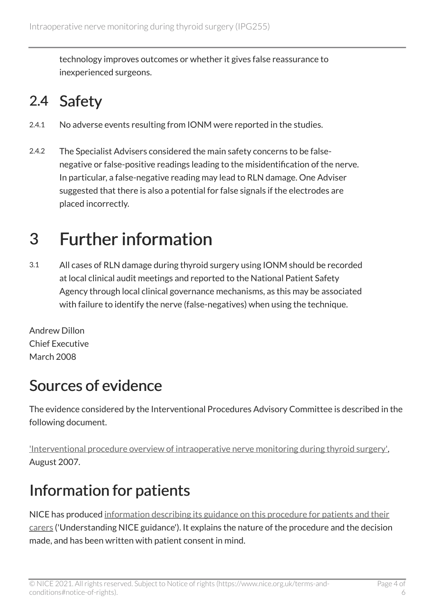technology improves outcomes or whether it gives false reassurance to inexperienced surgeons.

### 2.4 Safety

- 2.4.1 No adverse events resulting from IONM were reported in the studies.
- 2.4.2 The Specialist Advisers considered the main safety concerns to be falsenegative or false-positive readings leading to the misidentification of the nerve. In particular, a false-negative reading may lead to RLN damage. One Adviser suggested that there is also a potential for false signals if the electrodes are placed incorrectly.

## 3 Further information

3.1 All cases of RLN damage during thyroid surgery using IONM should be recorded at local clinical audit meetings and reported to the National Patient Safety Agency through local clinical governance mechanisms, as this may be associated with failure to identify the nerve (false-negatives) when using the technique.

Andrew Dillon Chief Executive March 2008

### Sources of evidence

The evidence considered by the Interventional Procedures Advisory Committee is described in the following document.

['Interventional procedure overview of intraoperative nerve monitoring during thyroid surgery',](http://www.nice.org.uk/proxy/?sourceUrl=http%3a%2f%2fwww.nice.org.uk%2fip654overview) August 2007.

### Information for patients

NICE has produced [information describing its guidance on this procedure for patients and their](http://www.nice.org.uk/guidance/ipg255/informationforpublic) [carers](http://www.nice.org.uk/guidance/ipg255/informationforpublic) ('Understanding NICE guidance'). It explains the nature of the procedure and the decision made, and has been written with patient consent in mind.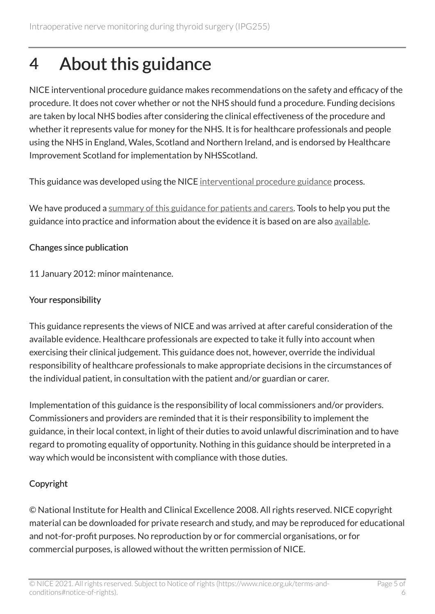## 4 About this guidance

NICE interventional procedure guidance makes recommendations on the safety and efficacy of the procedure. It does not cover whether or not the NHS should fund a procedure. Funding decisions are taken by local NHS bodies after considering the clinical effectiveness of the procedure and whether it represents value for money for the NHS. It is for healthcare professionals and people using the NHS in England, Wales, Scotland and Northern Ireland, and is endorsed by Healthcare Improvement Scotland for implementation by NHSScotland.

This guidance was developed using the NICE [interventional procedure guidance](http://www.nice.org.uk/about/what-we-do/our-programmes/nice-guidance/nice-interventional-procedures-guidance) process.

We have produced a [summary of this guidance for patients and carers.](http://www.nice.org.uk/guidance/ipg255/informationforpublic) Tools to help you put the guidance into practice and information about the evidence it is based on are also [available](http://www.nice.org.uk/guidance/ipg255).

#### Changes since publication

11 January 2012: minor maintenance.

#### Your responsibility

This guidance represents the views of NICE and was arrived at after careful consideration of the available evidence. Healthcare professionals are expected to take it fully into account when exercising their clinical judgement. This guidance does not, however, override the individual responsibility of healthcare professionals to make appropriate decisions in the circumstances of the individual patient, in consultation with the patient and/or guardian or carer.

Implementation of this guidance is the responsibility of local commissioners and/or providers. Commissioners and providers are reminded that it is their responsibility to implement the guidance, in their local context, in light of their duties to avoid unlawful discrimination and to have regard to promoting equality of opportunity. Nothing in this guidance should be interpreted in a way which would be inconsistent with compliance with those duties.

#### Copyright

© National Institute for Health and Clinical Excellence 2008. All rights reserved. NICE copyright material can be downloaded for private research and study, and may be reproduced for educational and not-for-profit purposes. No reproduction by or for commercial organisations, or for commercial purposes, is allowed without the written permission of NICE.